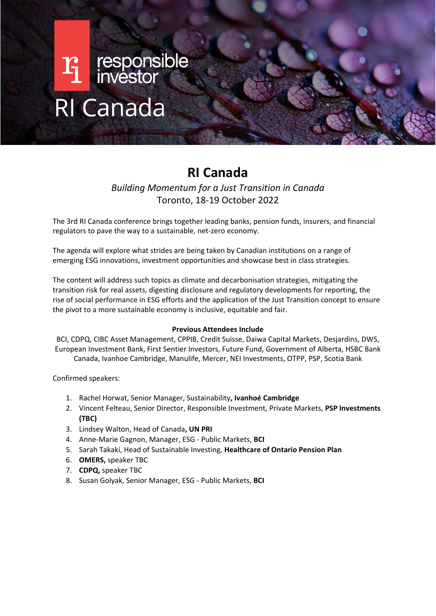# **Ti** responsible RI Canada

## **RI Canada**

*Building Momentum for a Just Transition in Canada* Toronto, 18-19 October 2022

The 3rd RI Canada conference brings together leading banks, pension funds, insurers, and financial regulators to pave the way to a sustainable, net-zero economy.

The agenda will explore what strides are being taken by Canadian institutions on a range of emerging ESG innovations, investment opportunities and showcase best in class strategies.

The content will address such topics as climate and decarbonisation strategies, mitigating the transition risk for real assets, digesting disclosure and regulatory developments for reporting, the rise of social performance in ESG efforts and the application of the Just Transition concept to ensure the pivot to a more sustainable economy is inclusive, equitable and fair.

## **Previous Attendees Include**

BCI, CDPQ, CIBC Asset Management, CPPIB, Credit Suisse, Daiwa Capital Markets, Desjardins, DWS, European Investment Bank, First Sentier Investors, Future Fund, Government of Alberta, HSBC Bank Canada, Ivanhoe Cambridge, Manulife, Mercer, NEI Investments, OTPP, PSP, Scotia Bank

Confirmed speakers:

- 1. Rachel Horwat, Senior Manager, Sustainability**, Ivanhoé Cambridge**
- 2. Vincent Felteau, Senior Director, Responsible Investment, Private Markets, **PSP Investments (TBC)**
- 3. Lindsey Walton, Head of Canada**, UN PRI**
- 4. Anne-Marie Gagnon, Manager, ESG Public Markets, **BCI**
- 5. Sarah Takaki, Head of Sustainable Investing, **Healthcare of Ontario Pension Plan**
- 6. **OMERS,** speaker TBC
- 7. **CDPQ,** speaker TBC
- 8. Susan Golyak, Senior Manager, ESG Public Markets, **BCI**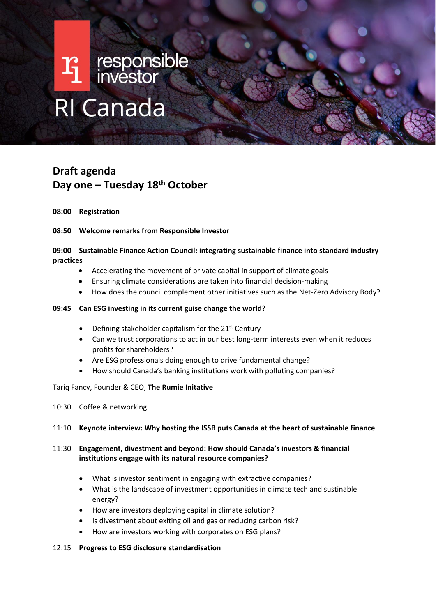# $\mathbf{T}_1$  responsible RI Canada

## **Draft agenda Day one – Tuesday 18th October**

## **08:00 Registration**

## **08:50 Welcome remarks from Responsible Investor**

## **09:00 Sustainable Finance Action Council: integrating sustainable finance into standard industry practices**

- Accelerating the movement of private capital in support of climate goals
- Ensuring climate considerations are taken into financial decision-making
- How does the council complement other initiatives such as the Net-Zero Advisory Body?

## **09:45 Can ESG investing in its current guise change the world?**

- Defining stakeholder capitalism for the 21st Century
- Can we trust corporations to act in our best long-term interests even when it reduces profits for shareholders?
- Are ESG professionals doing enough to drive fundamental change?
- How should Canada's banking institutions work with polluting companies?

### Tariq Fancy, Founder & CEO, **The Rumie Initative**

10:30 Coffee & networking

## 11:10 **Keynote interview: Why hosting the ISSB puts Canada at the heart of sustainable finance**

- 11:30 **Engagement, divestment and beyond: How should Canada's investors & financial institutions engage with its natural resource companies?**
	- What is investor sentiment in engaging with extractive companies?
	- What is the landscape of investment opportunities in climate tech and sustinable energy?
	- How are investors deploying capital in climate solution?
	- Is divestment about exiting oil and gas or reducing carbon risk?
	- How are investors working with corporates on ESG plans?

### 12:15 **Progress to ESG disclosure standardisation**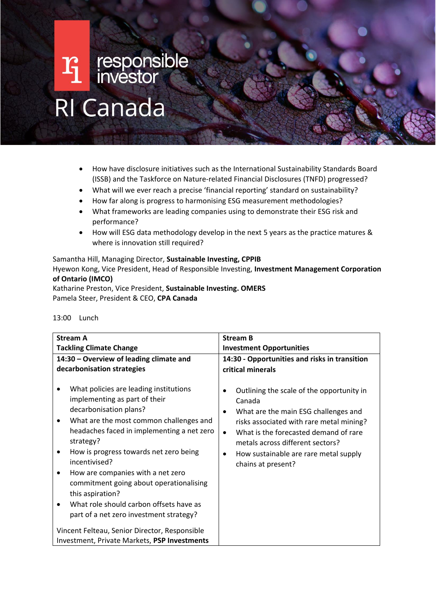# $\mathbf{F}_{\!\!\!1}$  responsible RI Canada

- How have disclosure initiatives such as the International Sustainability Standards Board (ISSB) and the Taskforce on Nature-related Financial Disclosures (TNFD) progressed?
- What will we ever reach a precise 'financial reporting' standard on sustainability?
- How far along is progress to harmonising ESG measurement methodologies?
- What frameworks are leading companies using to demonstrate their ESG risk and performance?
- How will ESG data methodology develop in the next 5 years as the practice matures & where is innovation still required?

Samantha Hill, Managing Director, **Sustainable Investing, CPPIB** Hyewon Kong, Vice President, Head of Responsible Investing, **Investment Management Corporation of Ontario (IMCO)**

Katharine Preston, Vice President, **Sustainable Investing. OMERS** Pamela Steer, President & CEO, **CPA Canada**

| <b>Stream A</b>                                                                                                                                                                                                                                                                                                                                                                                                                                                                                 | <b>Stream B</b>                                                                                                                                                                                                                                                                                                                              |
|-------------------------------------------------------------------------------------------------------------------------------------------------------------------------------------------------------------------------------------------------------------------------------------------------------------------------------------------------------------------------------------------------------------------------------------------------------------------------------------------------|----------------------------------------------------------------------------------------------------------------------------------------------------------------------------------------------------------------------------------------------------------------------------------------------------------------------------------------------|
|                                                                                                                                                                                                                                                                                                                                                                                                                                                                                                 |                                                                                                                                                                                                                                                                                                                                              |
| <b>Tackling Climate Change</b>                                                                                                                                                                                                                                                                                                                                                                                                                                                                  | <b>Investment Opportunities</b>                                                                                                                                                                                                                                                                                                              |
| 14:30 - Overview of leading climate and                                                                                                                                                                                                                                                                                                                                                                                                                                                         | 14:30 - Opportunities and risks in transition                                                                                                                                                                                                                                                                                                |
|                                                                                                                                                                                                                                                                                                                                                                                                                                                                                                 |                                                                                                                                                                                                                                                                                                                                              |
| decarbonisation strategies<br>What policies are leading institutions<br>implementing as part of their<br>decarbonisation plans?<br>What are the most common challenges and<br>headaches faced in implementing a net zero<br>strategy?<br>How is progress towards net zero being<br>incentivised?<br>How are companies with a net zero<br>٠<br>commitment going about operationalising<br>this aspiration?<br>What role should carbon offsets have as<br>part of a net zero investment strategy? | critical minerals<br>Outlining the scale of the opportunity in<br>٠<br>Canada<br>What are the main ESG challenges and<br>٠<br>risks associated with rare metal mining?<br>What is the forecasted demand of rare<br>$\bullet$<br>metals across different sectors?<br>How sustainable are rare metal supply<br>$\bullet$<br>chains at present? |
| Vincent Felteau, Senior Director, Responsible                                                                                                                                                                                                                                                                                                                                                                                                                                                   |                                                                                                                                                                                                                                                                                                                                              |
| Investment, Private Markets, PSP Investments                                                                                                                                                                                                                                                                                                                                                                                                                                                    |                                                                                                                                                                                                                                                                                                                                              |

### 13:00 Lunch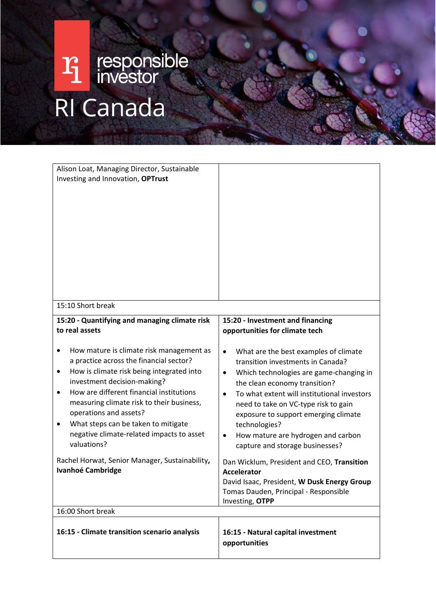## responsible<br>investor  $r_1$ RI Canada

| Alison Loat, Managing Director, Sustainable<br>Investing and Innovation, OPTrust                                                                                                                                                                                                                                                                                                                        |                                                                                                                                                                                                                                                                                                                                                                                                   |
|---------------------------------------------------------------------------------------------------------------------------------------------------------------------------------------------------------------------------------------------------------------------------------------------------------------------------------------------------------------------------------------------------------|---------------------------------------------------------------------------------------------------------------------------------------------------------------------------------------------------------------------------------------------------------------------------------------------------------------------------------------------------------------------------------------------------|
| 15:10 Short break                                                                                                                                                                                                                                                                                                                                                                                       |                                                                                                                                                                                                                                                                                                                                                                                                   |
| 15:20 - Quantifying and managing climate risk<br>to real assets                                                                                                                                                                                                                                                                                                                                         | 15:20 - Investment and financing<br>opportunities for climate tech                                                                                                                                                                                                                                                                                                                                |
| How mature is climate risk management as<br>a practice across the financial sector?<br>How is climate risk being integrated into<br>٠<br>investment decision-making?<br>How are different financial institutions<br>$\bullet$<br>measuring climate risk to their business,<br>operations and assets?<br>What steps can be taken to mitigate<br>negative climate-related impacts to asset<br>valuations? | What are the best examples of climate<br>$\bullet$<br>transition investments in Canada?<br>Which technologies are game-changing in<br>٠<br>the clean economy transition?<br>To what extent will institutional investors<br>need to take on VC-type risk to gain<br>exposure to support emerging climate<br>technologies?<br>How mature are hydrogen and carbon<br>capture and storage businesses? |
| Rachel Horwat, Senior Manager, Sustainability,<br><b>Ivanhoé Cambridge</b>                                                                                                                                                                                                                                                                                                                              | Dan Wicklum, President and CEO, Transition<br><b>Accelerator</b><br>David Isaac, President, W Dusk Energy Group<br>Tomas Dauden, Principal - Responsible<br>Investing, OTPP                                                                                                                                                                                                                       |
| 16:00 Short break                                                                                                                                                                                                                                                                                                                                                                                       |                                                                                                                                                                                                                                                                                                                                                                                                   |
| 16:15 - Climate transition scenario analysis                                                                                                                                                                                                                                                                                                                                                            | 16:15 - Natural capital investment<br>opportunities                                                                                                                                                                                                                                                                                                                                               |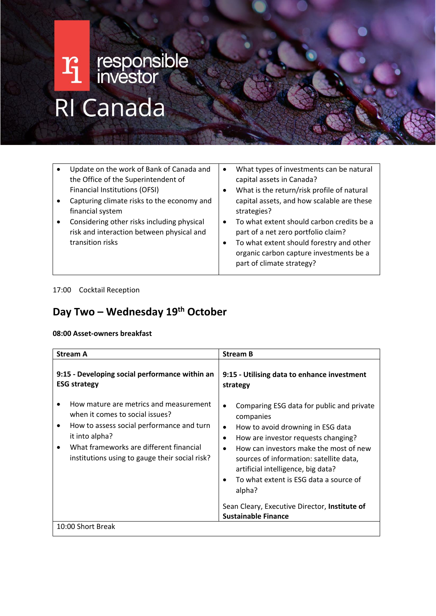# $\mathbf{F}_{\!\!\!{\bm \mathrm{}}\,}$ responsible RI Canada

| $\bullet$ | Update on the work of Bank of Canada and<br>the Office of the Superintendent of<br>Financial Institutions (OFSI)<br>Capturing climate risks to the economy and<br>financial system<br>Considering other risks including physical<br>risk and interaction between physical and<br>transition risks | $\bullet$<br>٠<br>$\bullet$ | What types of investments can be natural<br>capital assets in Canada?<br>What is the return/risk profile of natural<br>capital assets, and how scalable are these<br>strategies?<br>To what extent should carbon credits be a<br>part of a net zero portfolio claim?<br>To what extent should forestry and other<br>organic carbon capture investments be a<br>part of climate strategy? |
|-----------|---------------------------------------------------------------------------------------------------------------------------------------------------------------------------------------------------------------------------------------------------------------------------------------------------|-----------------------------|------------------------------------------------------------------------------------------------------------------------------------------------------------------------------------------------------------------------------------------------------------------------------------------------------------------------------------------------------------------------------------------|
|-----------|---------------------------------------------------------------------------------------------------------------------------------------------------------------------------------------------------------------------------------------------------------------------------------------------------|-----------------------------|------------------------------------------------------------------------------------------------------------------------------------------------------------------------------------------------------------------------------------------------------------------------------------------------------------------------------------------------------------------------------------------|

## 17:00 Cocktail Reception

## **Day Two – Wednesday 19th October**

## **08:00 Asset-owners breakfast**

| <b>Stream A</b>                                                                                                                                                                                                                                         | <b>Stream B</b>                                                                                                                                                                                                                                                                                                                                                       |
|---------------------------------------------------------------------------------------------------------------------------------------------------------------------------------------------------------------------------------------------------------|-----------------------------------------------------------------------------------------------------------------------------------------------------------------------------------------------------------------------------------------------------------------------------------------------------------------------------------------------------------------------|
| 9:15 - Developing social performance within an<br><b>ESG strategy</b>                                                                                                                                                                                   | 9:15 - Utilising data to enhance investment<br>strategy                                                                                                                                                                                                                                                                                                               |
| How mature are metrics and measurement<br>when it comes to social issues?<br>How to assess social performance and turn<br>٠<br>it into alpha?<br>What frameworks are different financial<br>$\bullet$<br>institutions using to gauge their social risk? | Comparing ESG data for public and private<br>$\bullet$<br>companies<br>How to avoid drowning in ESG data<br>$\bullet$<br>How are investor requests changing?<br>$\bullet$<br>How can investors make the most of new<br>$\bullet$<br>sources of information: satellite data,<br>artificial intelligence, big data?<br>To what extent is ESG data a source of<br>alpha? |
|                                                                                                                                                                                                                                                         | Sean Cleary, Executive Director, Institute of<br><b>Sustainable Finance</b>                                                                                                                                                                                                                                                                                           |
| 10:00 Short Break                                                                                                                                                                                                                                       |                                                                                                                                                                                                                                                                                                                                                                       |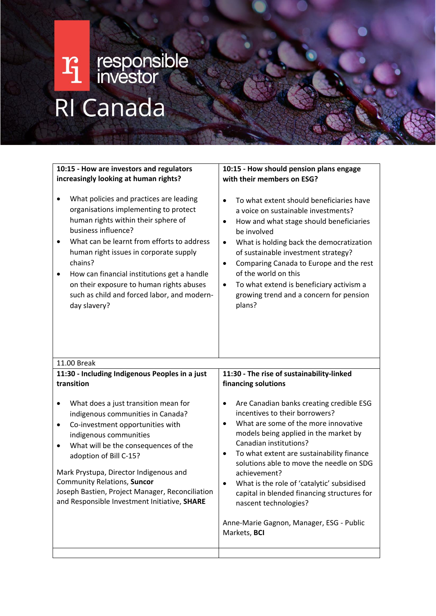## responsible<br>investor  $r_1$ RI Canada

| 10:15 - How are investors and regulators<br>increasingly looking at human rights?<br>What policies and practices are leading<br>organisations implementing to protect<br>human rights within their sphere of<br>business influence?<br>What can be learnt from efforts to address<br>$\bullet$<br>human right issues in corporate supply<br>chains?<br>How can financial institutions get a handle<br>$\bullet$<br>on their exposure to human rights abuses<br>such as child and forced labor, and modern-<br>day slavery? | 10:15 - How should pension plans engage<br>with their members on ESG?<br>To what extent should beneficiaries have<br>$\bullet$<br>a voice on sustainable investments?<br>How and what stage should beneficiaries<br>$\bullet$<br>be involved<br>What is holding back the democratization<br>$\bullet$<br>of sustainable investment strategy?<br>Comparing Canada to Europe and the rest<br>$\bullet$<br>of the world on this<br>To what extend is beneficiary activism a<br>$\bullet$<br>growing trend and a concern for pension<br>plans?                                     |
|----------------------------------------------------------------------------------------------------------------------------------------------------------------------------------------------------------------------------------------------------------------------------------------------------------------------------------------------------------------------------------------------------------------------------------------------------------------------------------------------------------------------------|--------------------------------------------------------------------------------------------------------------------------------------------------------------------------------------------------------------------------------------------------------------------------------------------------------------------------------------------------------------------------------------------------------------------------------------------------------------------------------------------------------------------------------------------------------------------------------|
| 11.00 Break<br>11:30 - Including Indigenous Peoples in a just<br>transition<br>What does a just transition mean for<br>٠<br>indigenous communities in Canada?<br>Co-investment opportunities with<br>٠<br>indigenous communities<br>What will be the consequences of the<br>$\bullet$<br>adoption of Bill C-15?<br>Mark Prystupa, Director Indigenous and<br>Community Relations, Suncor<br>Joseph Bastien, Project Manager, Reconciliation<br>and Responsible Investment Initiative, SHARE                                | 11:30 - The rise of sustainability-linked<br>financing solutions<br>Are Canadian banks creating credible ESG<br>incentives to their borrowers?<br>What are some of the more innovative<br>$\bullet$<br>models being applied in the market by<br>Canadian institutions?<br>To what extent are sustainability finance<br>$\bullet$<br>solutions able to move the needle on SDG<br>achievement?<br>What is the role of 'catalytic' subsidised<br>capital in blended financing structures for<br>nascent technologies?<br>Anne-Marie Gagnon, Manager, ESG - Public<br>Markets, BCI |
|                                                                                                                                                                                                                                                                                                                                                                                                                                                                                                                            |                                                                                                                                                                                                                                                                                                                                                                                                                                                                                                                                                                                |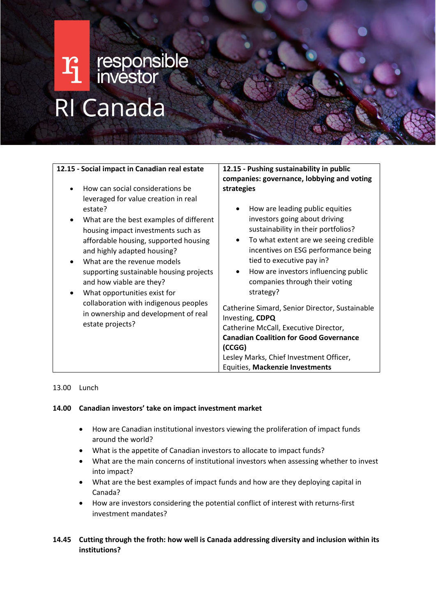# Ti responsible<br>
Il investor<br>
RI Canada

| 12.15 - Social impact in Canadian real estate                                                                                                                                                                                                                                                                                                                                                                                                                                                                          | 12.15 - Pushing sustainability in public<br>companies: governance, lobbying and voting                                                                                                                                                                                                                                                                                                                                                                                                                                                    |
|------------------------------------------------------------------------------------------------------------------------------------------------------------------------------------------------------------------------------------------------------------------------------------------------------------------------------------------------------------------------------------------------------------------------------------------------------------------------------------------------------------------------|-------------------------------------------------------------------------------------------------------------------------------------------------------------------------------------------------------------------------------------------------------------------------------------------------------------------------------------------------------------------------------------------------------------------------------------------------------------------------------------------------------------------------------------------|
| How can social considerations be<br>leveraged for value creation in real<br>estate?<br>What are the best examples of different<br>٠<br>housing impact investments such as<br>affordable housing, supported housing<br>and highly adapted housing?<br>What are the revenue models<br>$\bullet$<br>supporting sustainable housing projects<br>and how viable are they?<br>What opportunities exist for<br>$\bullet$<br>collaboration with indigenous peoples<br>in ownership and development of real<br>estate projects? | strategies<br>How are leading public equities<br>$\bullet$<br>investors going about driving<br>sustainability in their portfolios?<br>To what extent are we seeing credible<br>$\bullet$<br>incentives on ESG performance being<br>tied to executive pay in?<br>How are investors influencing public<br>$\bullet$<br>companies through their voting<br>strategy?<br>Catherine Simard, Senior Director, Sustainable<br>Investing, CDPQ<br>Catherine McCall, Executive Director,<br><b>Canadian Coalition for Good Governance</b><br>(CCGG) |
|                                                                                                                                                                                                                                                                                                                                                                                                                                                                                                                        | Lesley Marks, Chief Investment Officer,<br>Equities, Mackenzie Investments                                                                                                                                                                                                                                                                                                                                                                                                                                                                |

## 13.00 Lunch

## **14.00 Canadian investors' take on impact investment market**

- How are Canadian institutional investors viewing the proliferation of impact funds around the world?
- What is the appetite of Canadian investors to allocate to impact funds?
- What are the main concerns of institutional investors when assessing whether to invest into impact?
- What are the best examples of impact funds and how are they deploying capital in Canada?
- How are investors considering the potential conflict of interest with returns-first investment mandates?

## **14.45 Cutting through the froth: how well is Canada addressing diversity and inclusion within its institutions?**